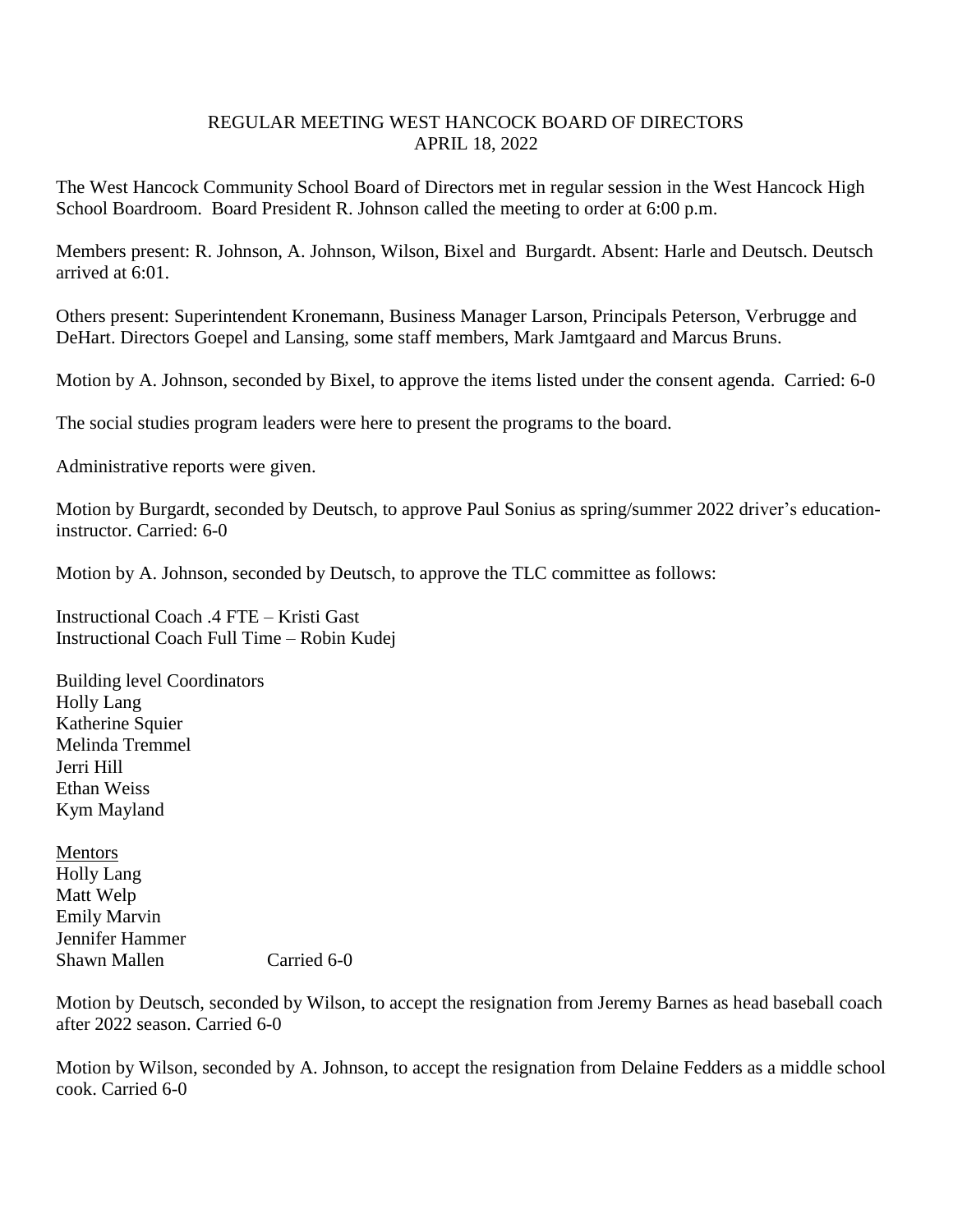## REGULAR MEETING WEST HANCOCK BOARD OF DIRECTORS APRIL 18, 2022

The West Hancock Community School Board of Directors met in regular session in the West Hancock High School Boardroom. Board President R. Johnson called the meeting to order at 6:00 p.m.

Members present: R. Johnson, A. Johnson, Wilson, Bixel and Burgardt. Absent: Harle and Deutsch. Deutsch arrived at 6:01.

Others present: Superintendent Kronemann, Business Manager Larson, Principals Peterson, Verbrugge and DeHart. Directors Goepel and Lansing, some staff members, Mark Jamtgaard and Marcus Bruns.

Motion by A. Johnson, seconded by Bixel, to approve the items listed under the consent agenda. Carried: 6-0

The social studies program leaders were here to present the programs to the board.

Administrative reports were given.

Motion by Burgardt, seconded by Deutsch, to approve Paul Sonius as spring/summer 2022 driver's educationinstructor. Carried: 6-0

Motion by A. Johnson, seconded by Deutsch, to approve the TLC committee as follows:

Instructional Coach .4 FTE – Kristi Gast Instructional Coach Full Time – Robin Kudej

Building level Coordinators Holly Lang Katherine Squier Melinda Tremmel Jerri Hill Ethan Weiss Kym Mayland

Mentors Holly Lang Matt Welp Emily Marvin Jennifer Hammer Shawn Mallen Carried 6-0

Motion by Deutsch, seconded by Wilson, to accept the resignation from Jeremy Barnes as head baseball coach after 2022 season. Carried 6-0

Motion by Wilson, seconded by A. Johnson, to accept the resignation from Delaine Fedders as a middle school cook. Carried 6-0